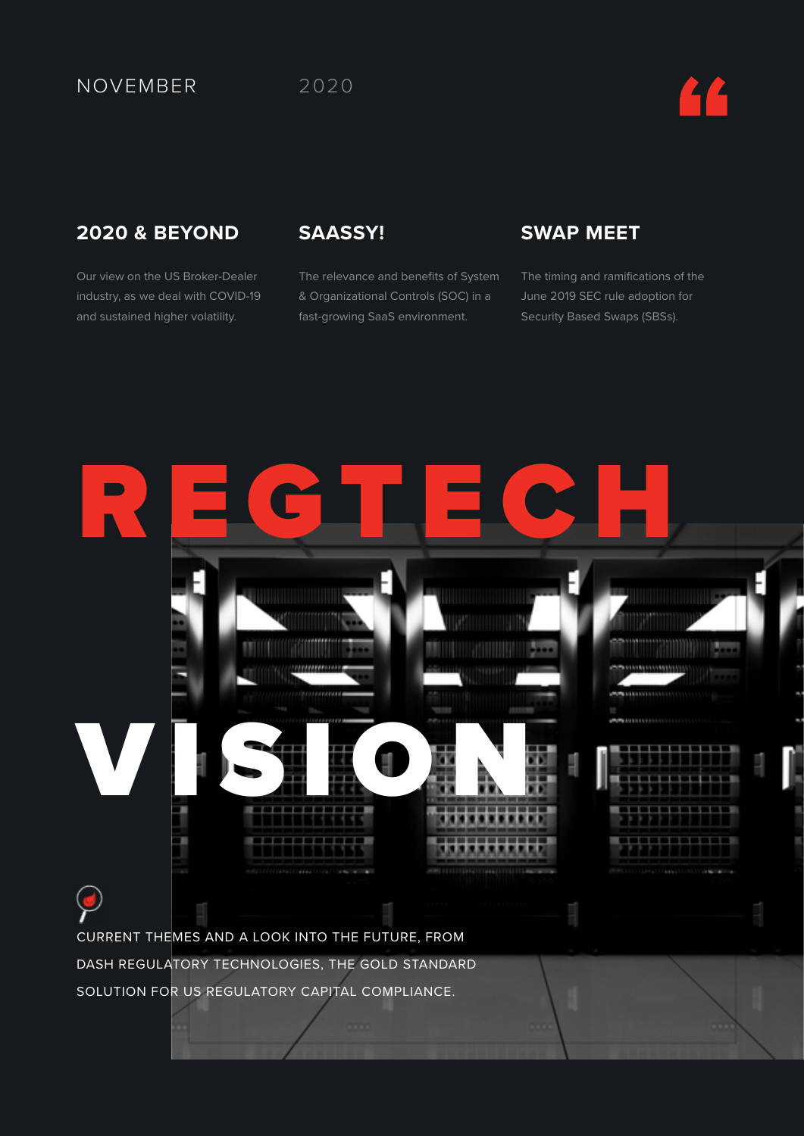### NOVEMBER 2020

### **2020 & BEYOND**

Our view on the US Broker-Dealer industry, as we deal with COVID-19 and sustained higher volatility.

### **SAASSY!**

The relevance and benefits of System & Organizational Controls (SOC) in a fast-growing SaaS environment.

### **SWAP MEET**

The timing and ramifications of the June 2019 SEC rule adoption for Security Based Swaps (SBSs).

# REGTECH VISION CURRENT THEMES AND A LOOK INTO THE FUTURE, FROM DASH REGULATORY TECHNOLOGIES, THE GOLD STANDARD SOLUTION FOR US REGULATORY CAPITAL COMPLIANCE.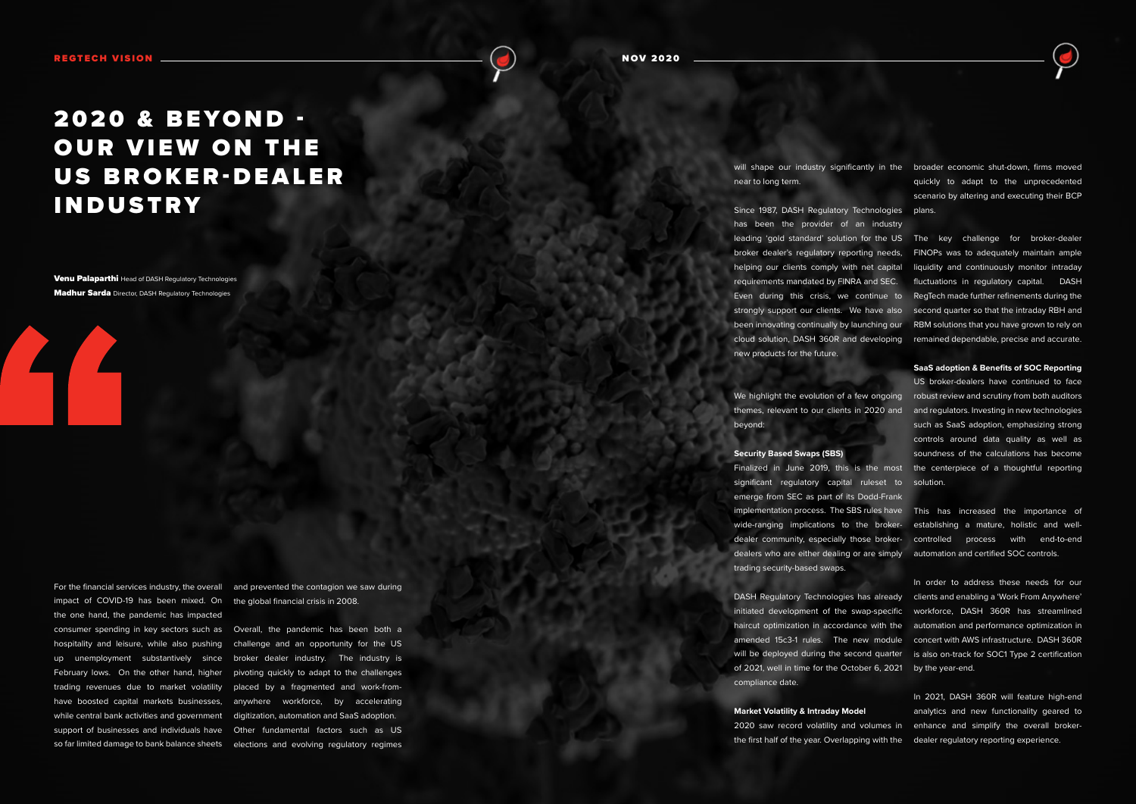# 2020 & BEYOND -**OUR VIEW ON THE** US BROKER-DEALER INDUSTRY

**Venu Palaparthi** Head of DASH Regulatory Technologies **Madhur Sarda** Director, DASH Regulatory Technologies

near to long term.

We highlight the evolution of a few ongoing robust review and scrutiny from both auditors themes, relevant to our clients in 2020 and and regulators. Investing in new technologies beyond:

Since 1987, DASH Regulatory Technologies plans. has been the provider of an industry leading 'gold standard' solution for the US The key challenge for broker-dealer broker dealer's regulatory reporting needs, FINOPs was to adequately maintain ample helping our clients comply with net capital liquidity and continuously monitor intraday requirements mandated by FINRA and SEC. fluctuations in regulatory capital. DASH Even during this crisis, we continue to RegTech made further refinements during the strongly support our clients. We have also second quarter so that the intraday RBH and been innovating continually by launching our RBM solutions that you have grown to rely on cloud solution, DASH 360R and developing remained dependable, precise and accurate. new products for the future.

#### **Security Based Swaps (SBS)**

will shape our industry significantly in the broader economic shut-down, firms moved quickly to adapt to the unprecedented scenario by altering and executing their BCP

Finalized in June 2019, this is the most the centerpiece of a thoughtful reporting significant regulatory capital ruleset to solution. emerge from SEC as part of its Dodd-Frank implementation process. The SBS rules have This has increased the importance of wide-ranging implications to the broker-establishing a mature, holistic and welldealer community, especially those broker-controlled process with end-to-end dealers who are either dealing or are simply automation and certified SOC controls. trading security-based swaps.

DASH Regulatory Technologies has already clients and enabling a 'Work From Anywhere' initiated development of the swap-specific workforce, DASH 360R has streamlined haircut optimization in accordance with the automation and performance optimization in amended 15c3-1 rules. The new module concert with AWS infrastructure. DASH 360R will be deployed during the second quarter is also on-track for SOC1 Type 2 certification of 2021, well in time for the October 6, 2021 by the year-end. compliance date.

**SaaS adoption & Benefits of SOC Reporting**

**Market Volatility & Intraday Model** 2020 saw record volatility and volumes in enhance and simplify the overall brokerthe first half of the year. Overlapping with the dealer regulatory reporting experience. In 2021, DASH 360R will feature high-end analytics and new functionality geared to



US broker-dealers have continued to face such as SaaS adoption, emphasizing strong controls around data quality as well as soundness of the calculations has become

In order to address these needs for our

For the financial services industry, the overall and prevented the contagion we saw during

impact of COVID-19 has been mixed. On the global financial crisis in 2008. the one hand, the pandemic has impacted while central bank activities and government digitization, automation and SaaS adoption.

consumer spending in key sectors such as Overall, the pandemic has been both a hospitality and leisure, while also pushing challenge and an opportunity for the US up unemployment substantively since broker dealer industry. The industry is February lows. On the other hand, higher pivoting quickly to adapt to the challenges trading revenues due to market volatility placed by a fragmented and work-fromhave boosted capital markets businesses, anywhere workforce, by accelerating support of businesses and individuals have Other fundamental factors such as US so far limited damage to bank balance sheets elections and evolving regulatory regimes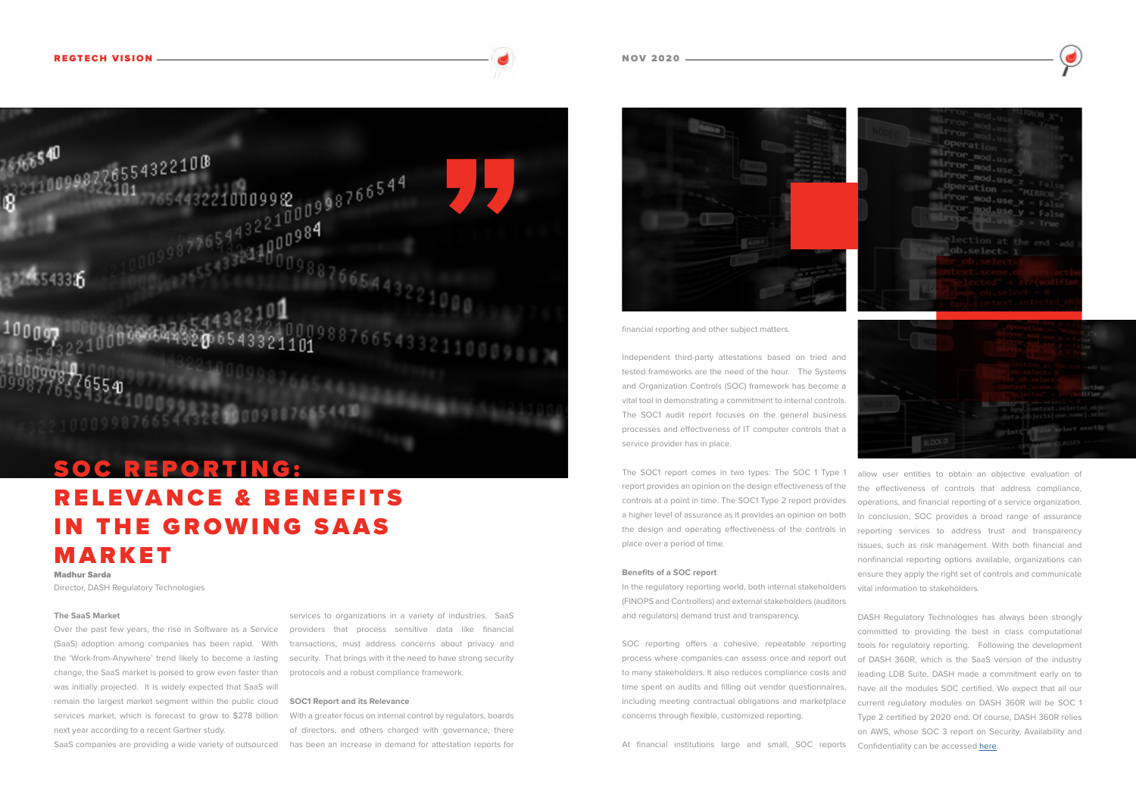#### **The SaaS Market**

Over the past few years, the rise in Software as a Service (SaaS) adoption among companies has been rapid. With the 'Work-from-Anywhere' trend likely to become a lasting change, the SaaS market is poised to grow even faster than was initially projected. It is widely expected that SaaS will remain the largest market segment within the public cloud services market, which is forecast to grow to \$278 billion next year according to a recent Gartner study.

services to organizations in a variety of industries. SaaS providers that process sensitive data like financial transactions, must address concerns about privacy and security. That brings with it the need to have strong security protocols and a robust compliance framework.

SaaS companies are providing a wide variety of outsourced has been an increase in demand for attestation reports for With a greater focus on internal control by regulators, boards of directors, and others charged with governance, there



#### **SOC1 Report and its Relevance**

financial reporting and other subject matters.

Independent third-party attestations based on tried and tested frameworks are the need of the hour. The Systems and Organization Controls (SOC) framework has become a vital tool in demonstrating a commitment to internal controls. The SOC1 audit report focuses on the general business processes and effectiveness of IT computer controls that a service provider has in place.

(FINOPS and Controllers) and external stakeholders (auditors and regulators) demand trust and transparency.

process where companies can assess once and report out to many stakeholders. It also reduces compliance costs and time spent on audits and filling out vendor questionnaires, including meeting contractual obligations and marketplace

The SOC1 report comes in two types: The SOC 1 Type 1 report provides an opinion on the design effectiveness of the controls at a point in time. The SOC1 Type 2 report provides a higher level of assurance as it provides an opinion on both the design and operating effectiveness of the controls in place over a period of time. **Benefits of a SOC report** In the regulatory reporting world, both internal stakeholders allow user entities to obtain an objective evaluation of the effectiveness of controls that address compliance, operations, and financial reporting of a service organization. In conclusion, SOC provides a broad range of assurance reporting services to address trust and transparency issues, such as risk management. With both financial and nonfinancial reporting options available, organizations can ensure they apply the right set of controls and communicate vital information to stakeholders.

SOC reporting offers a cohesive, repeatable reporting concerns through flexible, customized reporting. At financial institutions large and small, SOC reports DASH Regulatory Technologies has always been strongly committed to providing the best in class computational tools for regulatory reporting. Following the development of DASH 360R, which is the SaaS version of the industry leading LDB Suite, DASH made a commitment early on to have all the modules SOC certified. We expect that all our current regulatory modules on DASH 360R will be SOC 1 Type 2 certified by 2020 end. Of course, DASH 360R relies on AWS, whose SOC 3 report on Security, Availability and Confidentiality can be accessed [here](https://aws.amazon.com/compliance/soc-faqs/).

# SOC REPORTING: RELEVANCE & BENEFITS IN THE GROWING SAAS MARKET

Madhur Sarda Director, DASH Regulatory Technologies

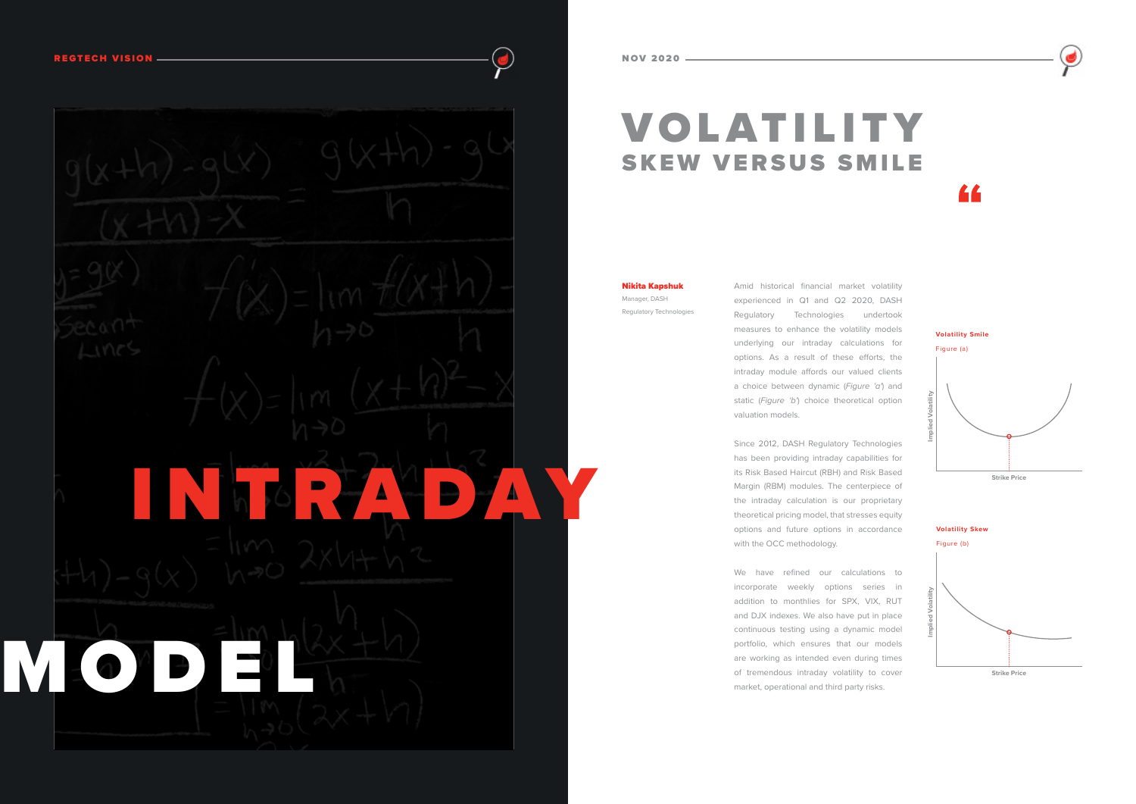# VOLATILITY SKEW VERSUS SMILE



Amid historical financial market volatility experienced in Q1 and Q2 2020, DASH Regulatory Technologies undertook measures to enhance the volatility models underlying our intraday calculations for options. As a result of these efforts, the intraday module affords our valued clients a choice between dynamic (*Figure 'a'*) and static (*Figure 'b'*) choice theoretical option valuation models.

Since 2012, DASH Regulatory Technologies has been providing intraday capabilities for its Risk Based Haircut (RBH) and Risk Based Margin (RBM) modules. The centerpiece of the intraday calculation is our proprietary theoretical pricing model, that stresses equity options and future options in accordance with the OCC methodology.

We have refined our calculations to incorporate weekly options series in addition to monthlies for SPX, VIX, RUT and DJX indexes. We also have put in place continuous testing using a dynamic model portfolio, which ensures that our models are working as intended even during times of tremendous intraday volatility to cover market, operational and third party risks.





Nikita Kapshuk Manager, DASH Regulatory Technologies



**Volatility Smile** 

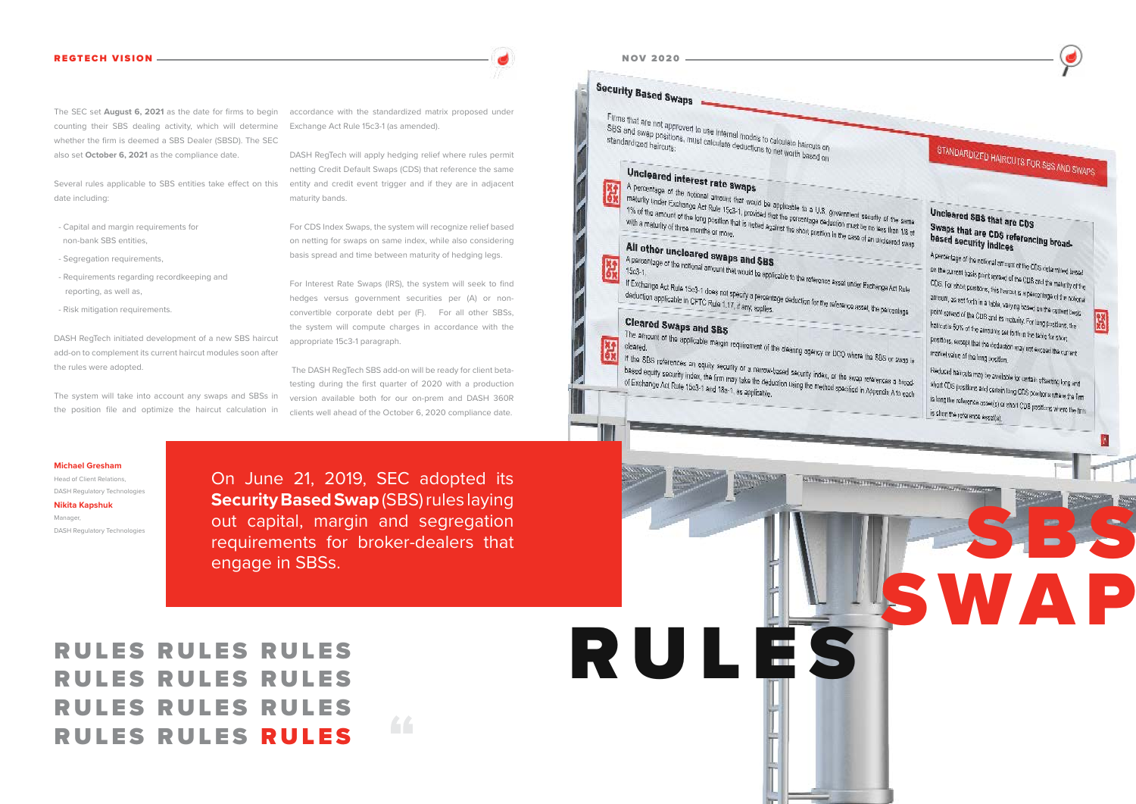RULES

# RULES RULES RULES RULES RULES RULES RULES RULES RULES RULES RULES RULES



# STANDARDIZED HAIRCUTS FOR SES AND SWAPS

SATTERNATIVE ALT TERRAT TERRAT FERRAT PROGATIVE ALT FERRAT FERRAT

### Uncleared SBS that are CDS Swaps that are CDS<br>based security indices based security indices

A percentage of the notional amount of the CDS detaintined lassed<br>on the surrent basis point acrear of the CDS detaintined lassed

on the summit basis point agreem of the CDS determined based<br>CDS. For short positions, this harm is much the maturity of the CDS. For short positions, this hermal is a percontage of the network of the<br>amount, as set forth in a table, variant is a percontage of the notional amount, as well forth in a teble, varying beaved to the tellonial<br>point spreed of the CDB and its reduced by the cument bests Point spreed of the CDS and its reducity. For lang pretting, the hallout is 50% of the almounts set forthing. For lang prestians, it<br>Positions, except that the almounts set forth in the table for short Positions, except that the deduction may not exceed the current<br>Institut value of the long averture traffet value of the long position.

Reduced haircuts may be awaitable for certain offseting long and<br>about CDS positions and coming to short CDS positions and cartain lang CDS positions where the Time<br>Its long the reference according CDS positions where the Tim Is long the reference asset(s) or short CDS posttors where the time<br>is short the reference asset(s) or short CDS positions where the time is short the reference asset(a).

SWMA

SBS

#### **Michael Gresham** Head of Client Relations,

DASH Regulatory Technologies

**Nikita Kapshuk** Manager, DASH Regulatory Technologies

The SEC set **August 6, 2021** as the date for firms to begin counting their SBS dealing activity, which will determine whether the firm is deemed a SBS Dealer (SBSD). The SEC also set **October 6, 2021** as the compliance date.

Several rules applicable to SBS entities take effect on this date including:

- Capital and margin requirements for non-bank SBS entities,
- Segregation requirements,
- Requirements regarding recordkeeping and reporting, as well as,
- Risk mitigation requirements.

DASH RegTech initiated development of a new SBS haircut add-on to complement its current haircut modules soon after the rules were adopted.

The system will take into account any swaps and SBSs in the position file and optimize the haircut calculation in accordance with the standardized matrix proposed under Exchange Act Rule 15c3-1 (as amended).

DASH RegTech will apply hedging relief where rules permit netting Credit Default Swaps (CDS) that reference the same entity and credit event trigger and if they are in adjacent maturity bands.

For CDS Index Swaps, the system will recognize relief based on netting for swaps on same index, while also considering basis spread and time between maturity of hedging legs.

For Interest Rate Swaps (IRS), the system will seek to find hedges versus government securities per (A) or nonconvertible corporate debt per (F). For all other SBSs, the system will compute charges in accordance with the appropriate 15c3-1 paragraph.

 The DASH RegTech SBS add-on will be ready for client betatesting during the first quarter of 2020 with a production version available both for our on-prem and DASH 360R clients well ahead of the October 6, 2020 compliance date.

66

On June 21, 2019, SEC adopted its **Security Based Swap** (SBS) rules laying out capital, margin and segregation requirements for broker-dealers that engage in SBSs.

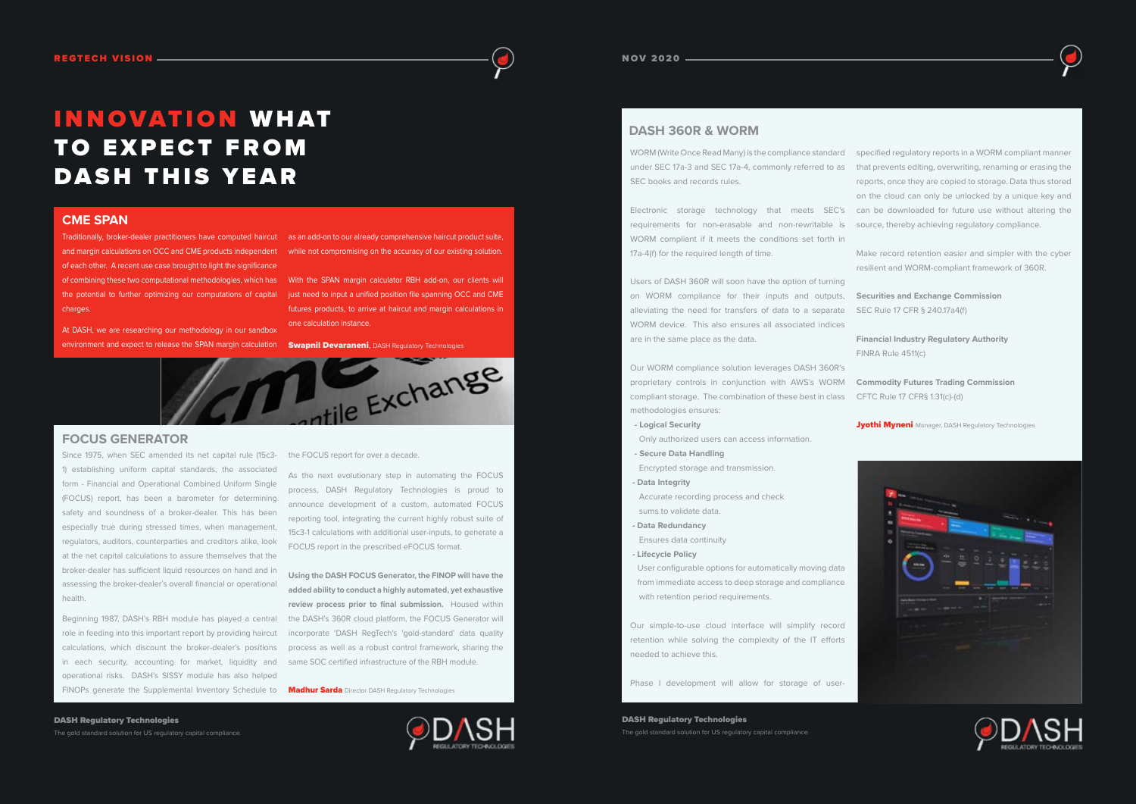# INNOVATION W H AT TO EXPECT FROM DASH THIS YEAR

At DASH, we are researching our methodology in our sandbox environment and expect to release the SPAN margin calculation **Swapnil Devaraneni**, DASH Regulatory Technologies

and margin calculations on OCC and CME products independent while not compromising on the accuracy of our existing solution. of each other. A recent use case brought to light the significance of combining these two computational methodologies, which has With the SPAN margin calculator RBH add-on, our clients will the potential to further optimizing our computations of capital just need to input a unified position file spanning OCC and CME charges.

Traditionally, broker-dealer practitioners have computed haircut as an add-on to our already comprehensive haircut product suite,

futures products, to arrive at haircut and margin calculations in one calculation instance.







WORM compliant if it meets the conditions set forth in 17a-4(f) for the required length of time.

Users of DASH 360R will soon have the option of turning on WORM compliance for their inputs and outputs, alleviating the need for transfers of data to a separate WORM device. This also ensures all associated indices are in the same place as the data.

Our WORM compliance solution leverages DASH 360R's proprietary controls in conjunction with AWS's WORM compliant storage. The combination of these best in class methodologies ensures:

 **- Logical Security**

Only authorized users can access information.

Beginning 1987, DASH's RBH module has played a central role in feeding into this important report by providing haircut calculations, which discount the broker-dealer's positions in each security, accounting for market, liquidity and operational risks. DASH's SISSY module has also helped FINOPs generate the Supplemental Inventory Schedule to **Madhur Sarda** Director DASH Regulatory Technologies  **- Secure Data Handling**

WORM (Write Once Read Many) is the compliance standard specified regulatory reports in a WORM compliant manner under SEC 17a-3 and SEC 17a-4, commonly referred to as that prevents editing, overwriting, renaming or erasing the SEC books and records rules. Electronic storage technology that meets SEC's can be downloaded for future use without altering the requirements for non-erasable and non-rewritable is reports, once they are copied to storage. Data thus stored on the cloud can only be unlocked by a unique key and source, thereby achieving regulatory compliance.

Encrypted storage and transmission.

 **- Data Integrity**

 Accurate recording process and check sums to validate data.

 **- Data Redundancy**

Ensures data continuity

 **- Lifecycle Policy**

 User configurable options for automatically moving data from immediate access to deep storage and compliance with retention period requirements.

Our simple-to-use cloud interface will simplify record retention while solving the complexity of the IT efforts needed to achieve this.

Phase I development will allow for storage of user-

Make record retention easier and simpler with the cyber resilient and WORM-compliant framework of 360R.

**Securities and Exchange Commission** SEC Rule 17 CFR § 240.17a4(f)

**Financial Industry Regulatory Authority** FINRA Rule 4511(c)

**Commodity Futures Trading Commission** CFTC Rule 17 CFR§ 1.31(c)-(d)

**Jyothi Myneni** Manager, DASH Regulatory Technologies

| 大地口中 |     |               |               |                    |
|------|-----|---------------|---------------|--------------------|
|      | ۰ļ۰ | $\frac{1}{2}$ |               | e                  |
|      |     |               |               |                    |
|      |     |               |               |                    |
|      |     |               |               |                    |
|      |     |               |               |                    |
|      |     |               | $\mathcal{L}$ | ∧SH<br>TECHNOLOGIE |

#### **CME SPAN**

Since 1975, when SEC amended its net capital rule (15c3- 1) establishing uniform capital standards, the associated form - Financial and Operational Combined Uniform Single (FOCUS) report, has been a barometer for determining safety and soundness of a broker-dealer. This has been especially true during stressed times, when management, regulators, auditors, counterparties and creditors alike, look at the net capital calculations to assure themselves that the broker-dealer has sufficient liquid resources on hand and in assessing the broker-dealer's overall financial or operational health.

the FOCUS report for over a decade.

As the next evolutionary step in automating the FOCUS process, DASH Regulatory Technologies is proud to announce development of a custom, automated FOCUS reporting tool, integrating the current highly robust suite of 15c3-1 calculations with additional user-inputs, to generate a FOCUS report in the prescribed eFOCUS format.

**Using the DASH FOCUS Generator, the FINOP will have the added ability to conduct a highly automated, yet exhaustive review process prior to final submission.** Housed within the DASH's 360R cloud platform, the FOCUS Generator will incorporate 'DASH RegTech's 'gold-standard' data quality process as well as a robust control framework, sharing the same SOC certified infrastructure of the RBH module.

#### **DASH 360R & WORM**

### **FOCUS GENERATOR**

DASH Regulatory Technologies The gold standard solution for US regulatory capital compliance.

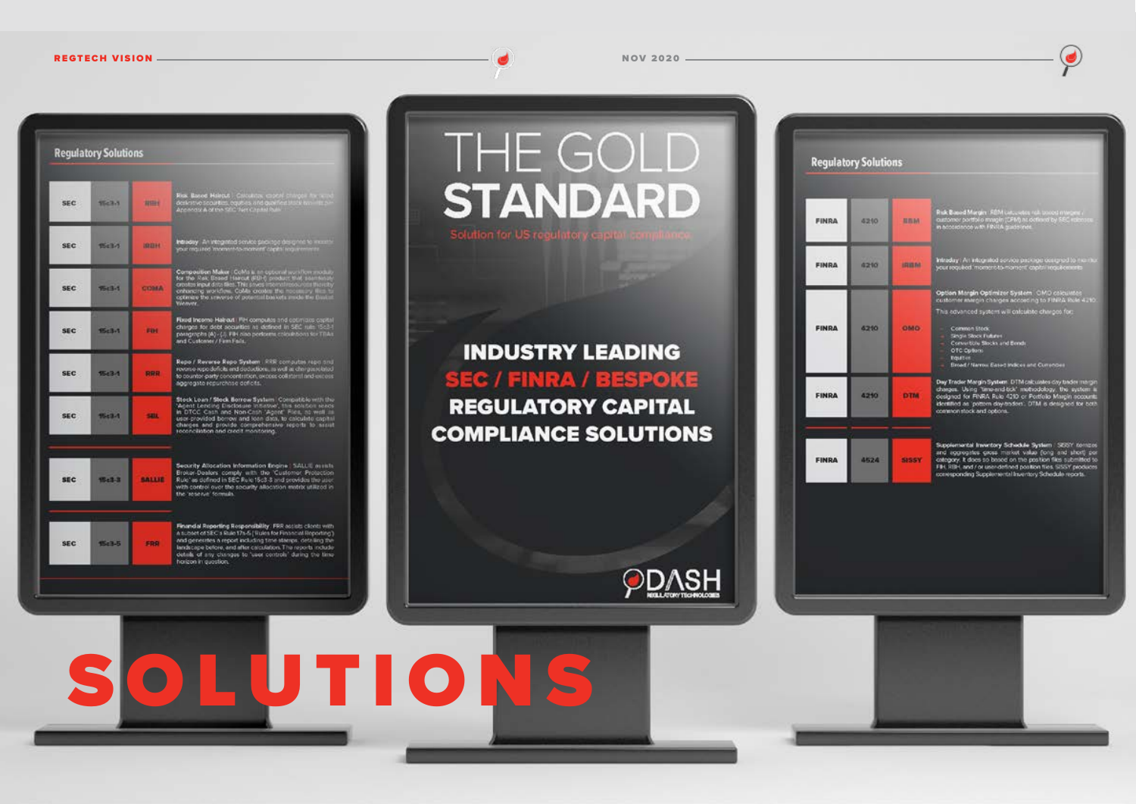| <b>Regulatory Solutions</b> |               |                                                                                                                                                                                                                                                                                                                                                      | THE G                                     |
|-----------------------------|---------------|------------------------------------------------------------------------------------------------------------------------------------------------------------------------------------------------------------------------------------------------------------------------------------------------------------------------------------------------------|-------------------------------------------|
| $T - E \geq 7T$             | <b>MILLER</b> | Risk, Based Halepa, L. Calculidas, coptar charges for sand<br>derivative securities, equivas and qualified track from this in<br>Appendix A of the SRC Senicapital Puls                                                                                                                                                                              | <b>STAND</b>                              |
| The B <sub>2</sub>          | <b>IREH</b>   | Intradery . An integrated service package designed to mean                                                                                                                                                                                                                                                                                           | Solution for US regulatory                |
| <b>TELE-1</b>               | <b>CIDIMA</b> | Composition Maker: CoMs is an optional auxilian module for the Rest Brand Haircut (RBF) product that assembly creating words in contact the module of the module of the module of the module of special the system of potentia<br>Wellwire.                                                                                                          |                                           |
| B <sub>1</sub>              | FINE          | Fixed Income Halrout   FIH computes and cotinizies capital<br>chirges for debt socialties his defined in SEC rule 15c3-8<br>paragraphs (A) - (.). Fill niso performs colorabons for TillAs.<br>and Customer / Firm Fails.                                                                                                                            |                                           |
| <b>1543-1</b>               | 我说是           | Repo / Reverse Repo System   RRR computes reported<br>revenue repo deficits and deductions, as well as charges related<br>to counter-party concentration, excess collateral and excess<br>aggrogate repurchase deficits.                                                                                                                             | <b>INDUSTRY L</b><br><b>SEC / FINRA /</b> |
| flich 4                     | <b>SHIL</b>   | Stock Loan / Stock Borrow System Compatible with the<br>"Agent Lending Elisclosure Intiative", this solution sears<br>In DTCC Cash and Non-Cash "Agent" Files, at well<br>user-provided berrow and icen data, to calculate capital<br>charges and provide comprehensive reports to assut-                                                            | <b>REGULATORY</b><br><b>COMPLIANCES</b>   |
| <b>15:3-3</b>               | <b>SALLIE</b> | Security Allocation Information Engine   SALLIE assists<br>Broker-Dealers comply with the Customer Protection<br>Rule" as defined in SEC Rule 15c3-3 and provides the aper<br>with control over the security allocation matrix utilized in<br>the 'seserve' formula.                                                                                 |                                           |
| $B03-5$                     | <b>FRR</b>    | Finandal Reporting Responsibility   FRR assists clients with<br>A subset of SEC's Rule 17s-5 [ Hules for Financial Reporting ]<br>and generates a report including time stamps, detailing the<br>landscape before, and after calculation. The reports include<br>details of any clusnges to 'user controls' during the time.<br>horizon in question. |                                           |

# THE GOLD **STANDARD** lution for US regulatory capit

### **INDUSTRY LEADING EC / FINRA / BESPOKE REGULATORY CAPITAL OMPLIANCE SOLUTIONS**







 $\bullet$ 

#### REGTECH VISION NOV 2020

**PDASH**